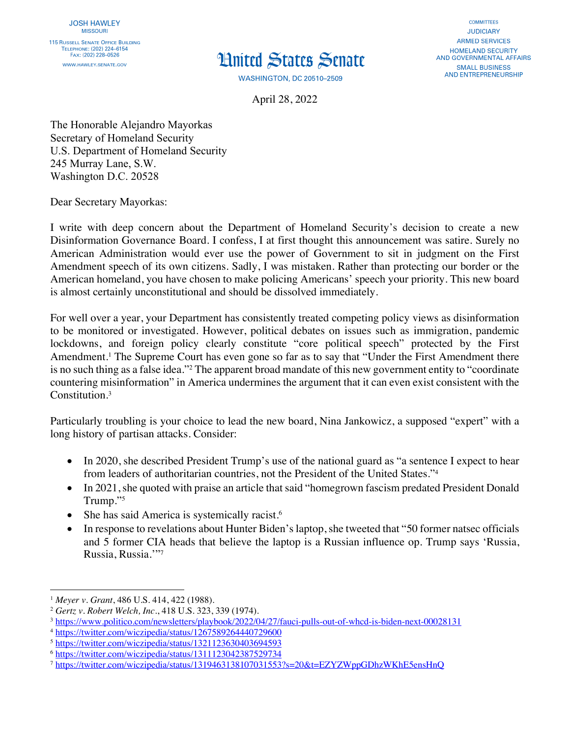## **Hnited States Senate**

**WASHINGTON, DC 20510-2509** 

**COMMITTEES JUDICIARY ARMED SERVICES** HOMELAND SECURITY AND GOVERNMENTAL AFFAIRS **SMALL BUSINESS AND ENTREPRENEURSHIP** 

April 28, 2022

The Honorable Alejandro Mayorkas Secretary of Homeland Security U.S. Department of Homeland Security 245 Murray Lane, S.W. Washington D.C. 20528

Dear Secretary Mayorkas:

I write with deep concern about the Department of Homeland Security's decision to create a new Disinformation Governance Board. I confess, I at first thought this announcement was satire. Surely no American Administration would ever use the power of Government to sit in judgment on the First Amendment speech of its own citizens. Sadly, I was mistaken. Rather than protecting our border or the American homeland, you have chosen to make policing Americans' speech your priority. This new board is almost certainly unconstitutional and should be dissolved immediately.

For well over a year, your Department has consistently treated competing policy views as disinformation to be monitored or investigated. However, political debates on issues such as immigration, pandemic lockdowns, and foreign policy clearly constitute "core political speech" protected by the First Amendment.<sup>1</sup> The Supreme Court has even gone so far as to say that "Under the First Amendment there is no such thing as a false idea."2 The apparent broad mandate of this new government entity to "coordinate countering misinformation" in America undermines the argument that it can even exist consistent with the Constitution.3

Particularly troubling is your choice to lead the new board, Nina Jankowicz, a supposed "expert" with a long history of partisan attacks. Consider:

- In 2020, she described President Trump's use of the national guard as "a sentence I expect to hear from leaders of authoritarian countries, not the President of the United States."4
- In 2021, she quoted with praise an article that said "homegrown fascism predated President Donald Trump."5
- She has said America is systemically racist.<sup>6</sup>
- In response to revelations about Hunter Biden's laptop, she tweeted that "50 former natsec officials and 5 former CIA heads that believe the laptop is a Russian influence op. Trump says 'Russia, Russia, Russia.'"7

<sup>1</sup> *Meyer v. Grant*, 486 U.S. 414, 422 (1988).

<sup>2</sup> *Gertz v. Robert Welch, Inc.*, 418 U.S. 323, 339 (1974).

<sup>3</sup> https://www.politico.com/newsletters/playbook/2022/04/27/fauci-pulls-out-of-whcd-is-biden-next-00028131

<sup>4</sup> https://twitter.com/wiczipedia/status/1267589264440729600

<sup>5</sup> https://twitter.com/wiczipedia/status/1321123630403694593

<sup>6</sup> https://twitter.com/wiczipedia/status/1311123042387529734

<sup>7</sup> https://twitter.com/wiczipedia/status/1319463138107031553?s=20&t=EZYZWppGDhzWKhE5ensHnQ